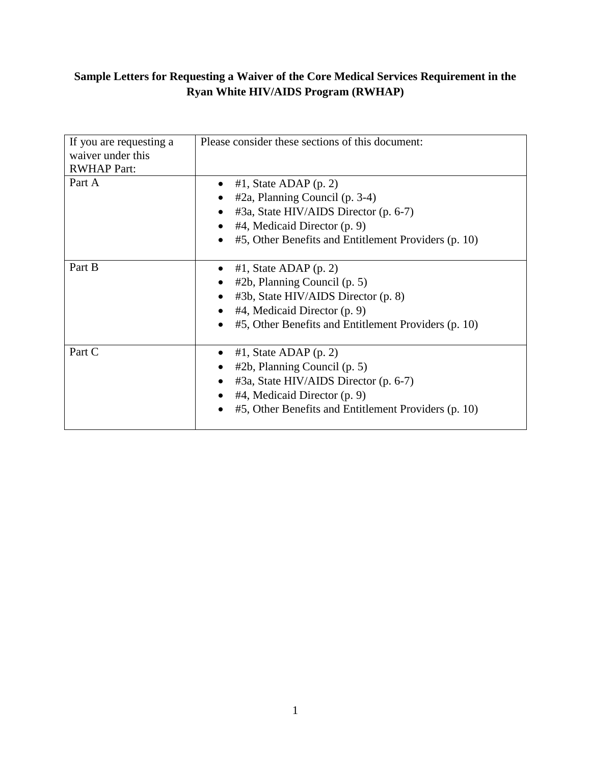# **Sample Letters for Requesting a Waiver of the Core Medical Services Requirement in the Ryan White HIV/AIDS Program (RWHAP)**

|                         | Please consider these sections of this document:                  |
|-------------------------|-------------------------------------------------------------------|
| If you are requesting a |                                                                   |
| waiver under this       |                                                                   |
| <b>RWHAP Part:</b>      |                                                                   |
| Part A                  | $#1$ , State ADAP (p. 2)<br>$\bullet$                             |
|                         | #2a, Planning Council (p. 3-4)<br>$\bullet$                       |
|                         | #3a, State HIV/AIDS Director (p. 6-7)<br>$\bullet$                |
|                         | #4, Medicaid Director (p. 9)                                      |
|                         | #5, Other Benefits and Entitlement Providers (p. 10)<br>$\bullet$ |
|                         |                                                                   |
| Part B                  | $#1$ , State ADAP (p. 2)                                          |
|                         | $#2b$ , Planning Council (p. 5)<br>$\bullet$                      |
|                         | #3b, State HIV/AIDS Director (p. 8)<br>$\bullet$                  |
|                         | #4, Medicaid Director (p. 9)<br>$\bullet$                         |
|                         | #5, Other Benefits and Entitlement Providers (p. 10)              |
|                         |                                                                   |
| Part C                  | $#1$ , State ADAP (p. 2)<br>$\bullet$                             |
|                         | $#2b$ , Planning Council (p. 5)                                   |
|                         | #3a, State HIV/AIDS Director (p. 6-7)                             |
|                         | #4, Medicaid Director (p. 9)                                      |
|                         | #5, Other Benefits and Entitlement Providers (p. 10)              |
|                         |                                                                   |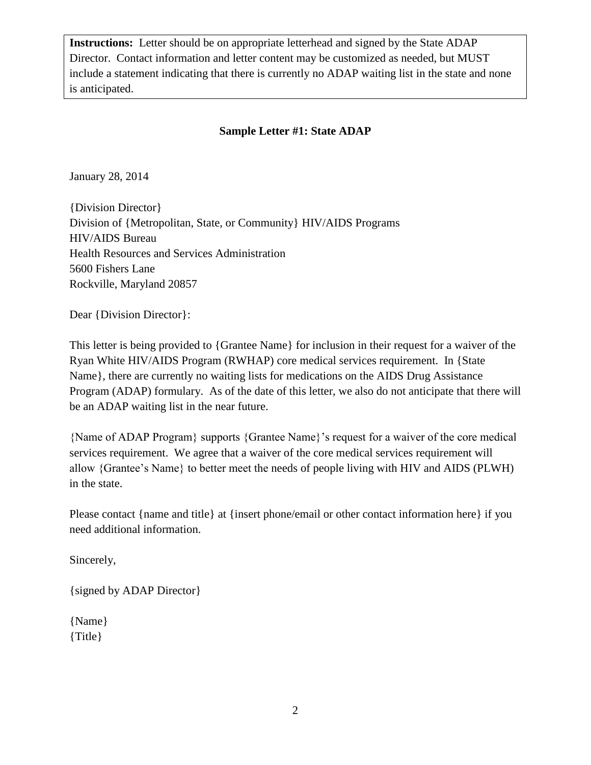**Instructions:** Letter should be on appropriate letterhead and signed by the State ADAP Director. Contact information and letter content may be customized as needed, but MUST include a statement indicating that there is currently no ADAP waiting list in the state and none is anticipated.

# **Sample Letter #1: State ADAP**

January 28, 2014

{Division Director} Division of {Metropolitan, State, or Community} HIV/AIDS Programs HIV/AIDS Bureau Health Resources and Services Administration 5600 Fishers Lane Rockville, Maryland 20857

Dear {Division Director}:

This letter is being provided to {Grantee Name} for inclusion in their request for a waiver of the Ryan White HIV/AIDS Program (RWHAP) core medical services requirement. In {State Name}, there are currently no waiting lists for medications on the AIDS Drug Assistance Program (ADAP) formulary. As of the date of this letter, we also do not anticipate that there will be an ADAP waiting list in the near future.

{Name of ADAP Program} supports {Grantee Name}'s request for a waiver of the core medical services requirement. We agree that a waiver of the core medical services requirement will allow {Grantee's Name} to better meet the needs of people living with HIV and AIDS (PLWH) in the state.

Please contact {name and title} at {insert phone/email or other contact information here} if you need additional information.

Sincerely,

{signed by ADAP Director}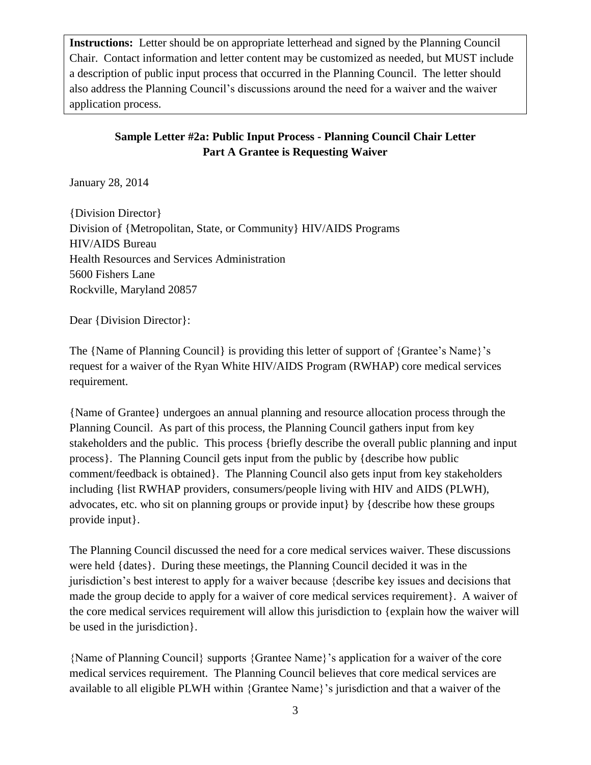**Instructions:** Letter should be on appropriate letterhead and signed by the Planning Council Chair. Contact information and letter content may be customized as needed, but MUST include a description of public input process that occurred in the Planning Council. The letter should also address the Planning Council's discussions around the need for a waiver and the waiver application process.

# **Sample Letter #2a: Public Input Process - Planning Council Chair Letter Part A Grantee is Requesting Waiver**

January 28, 2014

{Division Director} Division of {Metropolitan, State, or Community} HIV/AIDS Programs HIV/AIDS Bureau Health Resources and Services Administration 5600 Fishers Lane Rockville, Maryland 20857

Dear {Division Director}:

The {Name of Planning Council} is providing this letter of support of {Grantee's Name}'s request for a waiver of the Ryan White HIV/AIDS Program (RWHAP) core medical services requirement.

{Name of Grantee} undergoes an annual planning and resource allocation process through the Planning Council. As part of this process, the Planning Council gathers input from key stakeholders and the public. This process {briefly describe the overall public planning and input process}. The Planning Council gets input from the public by {describe how public comment/feedback is obtained}. The Planning Council also gets input from key stakeholders including {list RWHAP providers, consumers/people living with HIV and AIDS (PLWH), advocates, etc. who sit on planning groups or provide input} by {describe how these groups provide input}.

The Planning Council discussed the need for a core medical services waiver. These discussions were held {dates}. During these meetings, the Planning Council decided it was in the jurisdiction's best interest to apply for a waiver because {describe key issues and decisions that made the group decide to apply for a waiver of core medical services requirement}. A waiver of the core medical services requirement will allow this jurisdiction to {explain how the waiver will be used in the jurisdiction}.

{Name of Planning Council} supports {Grantee Name}'s application for a waiver of the core medical services requirement. The Planning Council believes that core medical services are available to all eligible PLWH within {Grantee Name}'s jurisdiction and that a waiver of the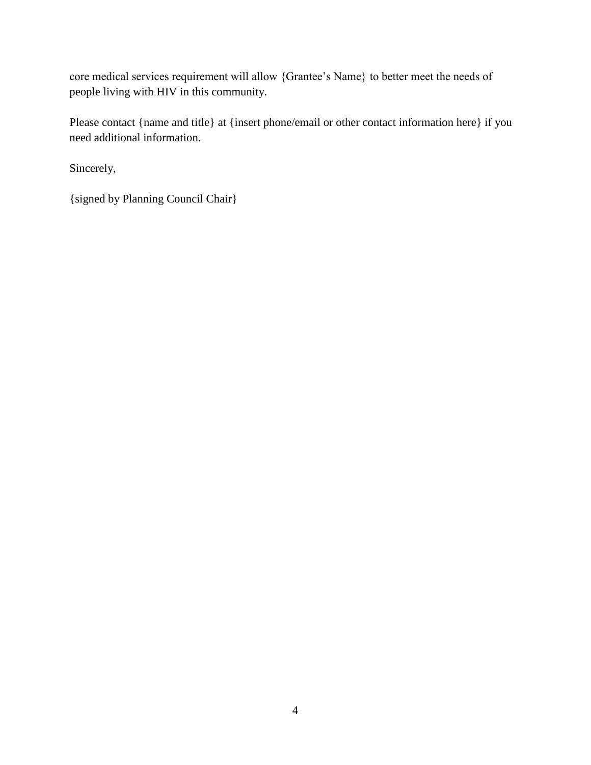core medical services requirement will allow {Grantee's Name} to better meet the needs of people living with HIV in this community.

Please contact {name and title} at {insert phone/email or other contact information here} if you need additional information.

Sincerely,

{signed by Planning Council Chair}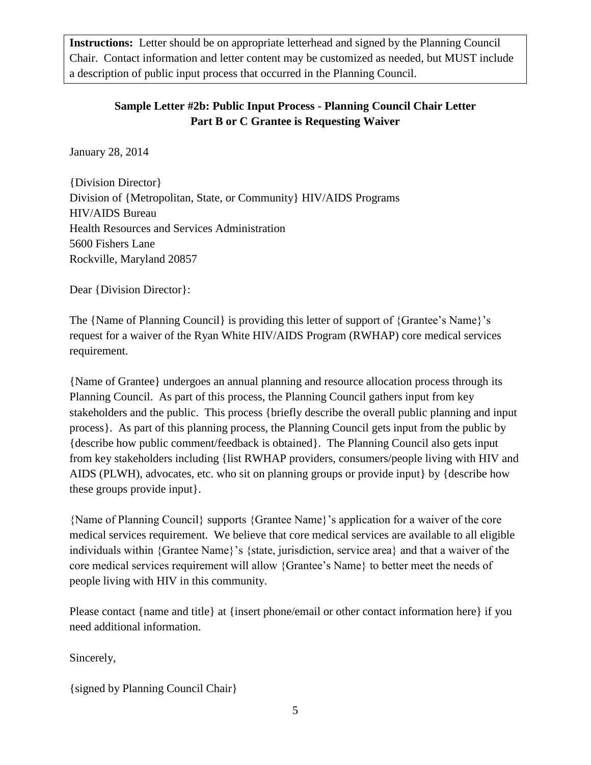**Instructions:** Letter should be on appropriate letterhead and signed by the Planning Council Chair. Contact information and letter content may be customized as needed, but MUST include a description of public input process that occurred in the Planning Council.

# **Sample Letter #2b: Public Input Process - Planning Council Chair Letter Part B or C Grantee is Requesting Waiver**

January 28, 2014

{Division Director} Division of {Metropolitan, State, or Community} HIV/AIDS Programs HIV/AIDS Bureau Health Resources and Services Administration 5600 Fishers Lane Rockville, Maryland 20857

Dear {Division Director}:

The {Name of Planning Council} is providing this letter of support of {Grantee's Name}'s request for a waiver of the Ryan White HIV/AIDS Program (RWHAP) core medical services requirement.

{Name of Grantee} undergoes an annual planning and resource allocation process through its Planning Council. As part of this process, the Planning Council gathers input from key stakeholders and the public. This process {briefly describe the overall public planning and input process}. As part of this planning process, the Planning Council gets input from the public by {describe how public comment/feedback is obtained}. The Planning Council also gets input from key stakeholders including {list RWHAP providers, consumers/people living with HIV and AIDS (PLWH), advocates, etc. who sit on planning groups or provide input} by {describe how these groups provide input}.

{Name of Planning Council} supports {Grantee Name}'s application for a waiver of the core medical services requirement. We believe that core medical services are available to all eligible individuals within {Grantee Name}'s {state, jurisdiction, service area} and that a waiver of the core medical services requirement will allow {Grantee's Name} to better meet the needs of people living with HIV in this community.

Please contact {name and title} at {insert phone/email or other contact information here} if you need additional information.

Sincerely,

{signed by Planning Council Chair}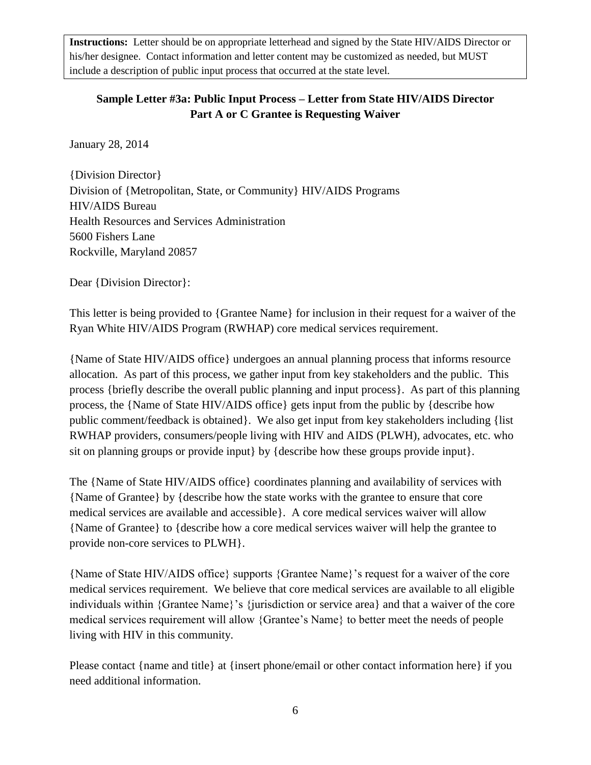**Instructions:** Letter should be on appropriate letterhead and signed by the State HIV/AIDS Director or his/her designee. Contact information and letter content may be customized as needed, but MUST include a description of public input process that occurred at the state level.

### **Sample Letter #3a: Public Input Process – Letter from State HIV/AIDS Director Part A or C Grantee is Requesting Waiver**

January 28, 2014

{Division Director} Division of {Metropolitan, State, or Community} HIV/AIDS Programs HIV/AIDS Bureau Health Resources and Services Administration 5600 Fishers Lane Rockville, Maryland 20857

Dear {Division Director}:

This letter is being provided to {Grantee Name} for inclusion in their request for a waiver of the Ryan White HIV/AIDS Program (RWHAP) core medical services requirement.

{Name of State HIV/AIDS office} undergoes an annual planning process that informs resource allocation. As part of this process, we gather input from key stakeholders and the public. This process {briefly describe the overall public planning and input process}. As part of this planning process, the {Name of State HIV/AIDS office} gets input from the public by {describe how public comment/feedback is obtained}. We also get input from key stakeholders including {list RWHAP providers, consumers/people living with HIV and AIDS (PLWH), advocates, etc. who sit on planning groups or provide input} by {describe how these groups provide input}.

The {Name of State HIV/AIDS office} coordinates planning and availability of services with {Name of Grantee} by {describe how the state works with the grantee to ensure that core medical services are available and accessible}. A core medical services waiver will allow {Name of Grantee} to {describe how a core medical services waiver will help the grantee to provide non-core services to PLWH}.

{Name of State HIV/AIDS office} supports {Grantee Name}'s request for a waiver of the core medical services requirement. We believe that core medical services are available to all eligible individuals within {Grantee Name}'s {jurisdiction or service area} and that a waiver of the core medical services requirement will allow {Grantee's Name} to better meet the needs of people living with HIV in this community.

Please contact {name and title} at {insert phone/email or other contact information here} if you need additional information.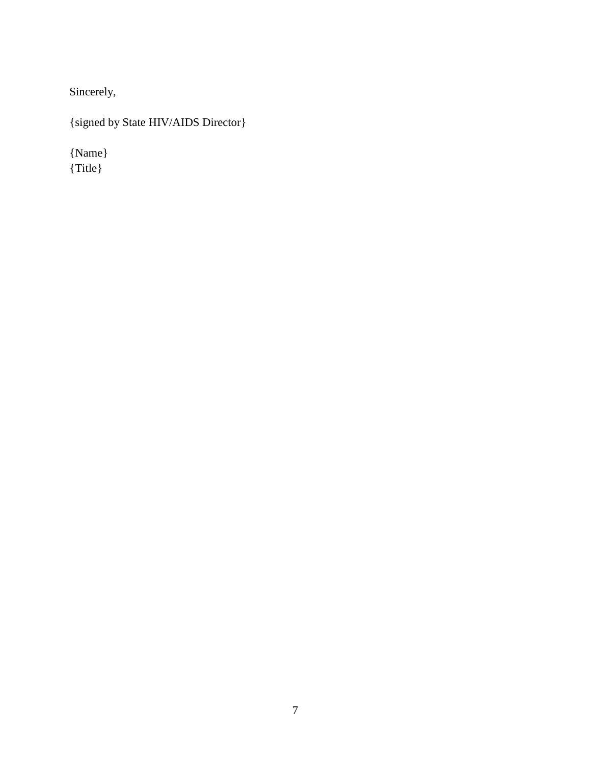Sincerely,

{signed by State HIV/AIDS Director}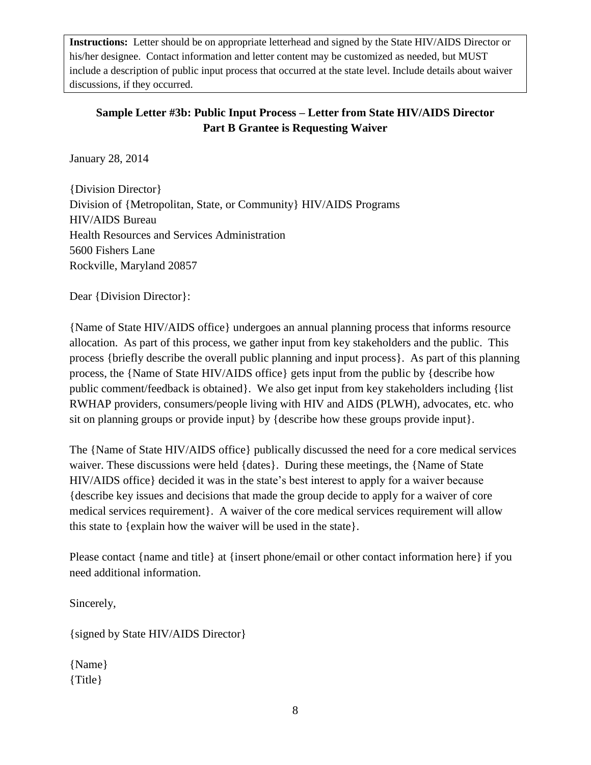**Instructions:** Letter should be on appropriate letterhead and signed by the State HIV/AIDS Director or his/her designee. Contact information and letter content may be customized as needed, but MUST include a description of public input process that occurred at the state level. Include details about waiver discussions, if they occurred.

### **Sample Letter #3b: Public Input Process – Letter from State HIV/AIDS Director Part B Grantee is Requesting Waiver**

January 28, 2014

{Division Director} Division of {Metropolitan, State, or Community} HIV/AIDS Programs HIV/AIDS Bureau Health Resources and Services Administration 5600 Fishers Lane Rockville, Maryland 20857

Dear {Division Director}:

{Name of State HIV/AIDS office} undergoes an annual planning process that informs resource allocation. As part of this process, we gather input from key stakeholders and the public. This process {briefly describe the overall public planning and input process}. As part of this planning process, the {Name of State HIV/AIDS office} gets input from the public by {describe how public comment/feedback is obtained}. We also get input from key stakeholders including {list RWHAP providers, consumers/people living with HIV and AIDS (PLWH), advocates, etc. who sit on planning groups or provide input} by {describe how these groups provide input}.

The {Name of State HIV/AIDS office} publically discussed the need for a core medical services waiver. These discussions were held {dates}. During these meetings, the {Name of State HIV/AIDS office} decided it was in the state's best interest to apply for a waiver because {describe key issues and decisions that made the group decide to apply for a waiver of core medical services requirement}. A waiver of the core medical services requirement will allow this state to {explain how the waiver will be used in the state}.

Please contact {name and title} at {insert phone/email or other contact information here} if you need additional information.

Sincerely,

{signed by State HIV/AIDS Director}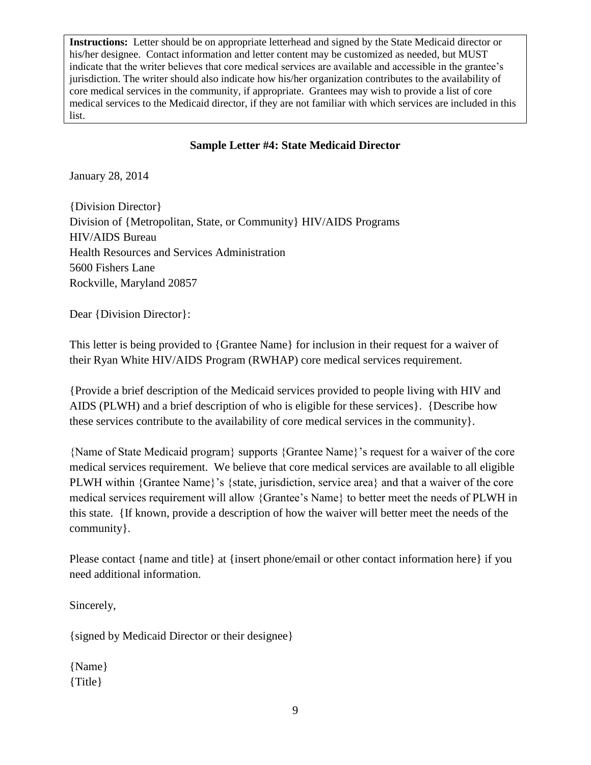**Instructions:** Letter should be on appropriate letterhead and signed by the State Medicaid director or his/her designee. Contact information and letter content may be customized as needed, but MUST indicate that the writer believes that core medical services are available and accessible in the grantee's jurisdiction. The writer should also indicate how his/her organization contributes to the availability of core medical services in the community, if appropriate. Grantees may wish to provide a list of core medical services to the Medicaid director, if they are not familiar with which services are included in this list.

#### **Sample Letter #4: State Medicaid Director**

January 28, 2014

{Division Director} Division of {Metropolitan, State, or Community} HIV/AIDS Programs HIV/AIDS Bureau Health Resources and Services Administration 5600 Fishers Lane Rockville, Maryland 20857

Dear {Division Director}:

This letter is being provided to {Grantee Name} for inclusion in their request for a waiver of their Ryan White HIV/AIDS Program (RWHAP) core medical services requirement.

{Provide a brief description of the Medicaid services provided to people living with HIV and AIDS (PLWH) and a brief description of who is eligible for these services}. {Describe how these services contribute to the availability of core medical services in the community}.

{Name of State Medicaid program} supports {Grantee Name}'s request for a waiver of the core medical services requirement. We believe that core medical services are available to all eligible PLWH within {Grantee Name}'s {state, jurisdiction, service area} and that a waiver of the core medical services requirement will allow {Grantee's Name} to better meet the needs of PLWH in this state. {If known, provide a description of how the waiver will better meet the needs of the community}.

Please contact {name and title} at {insert phone/email or other contact information here} if you need additional information.

Sincerely,

{signed by Medicaid Director or their designee}